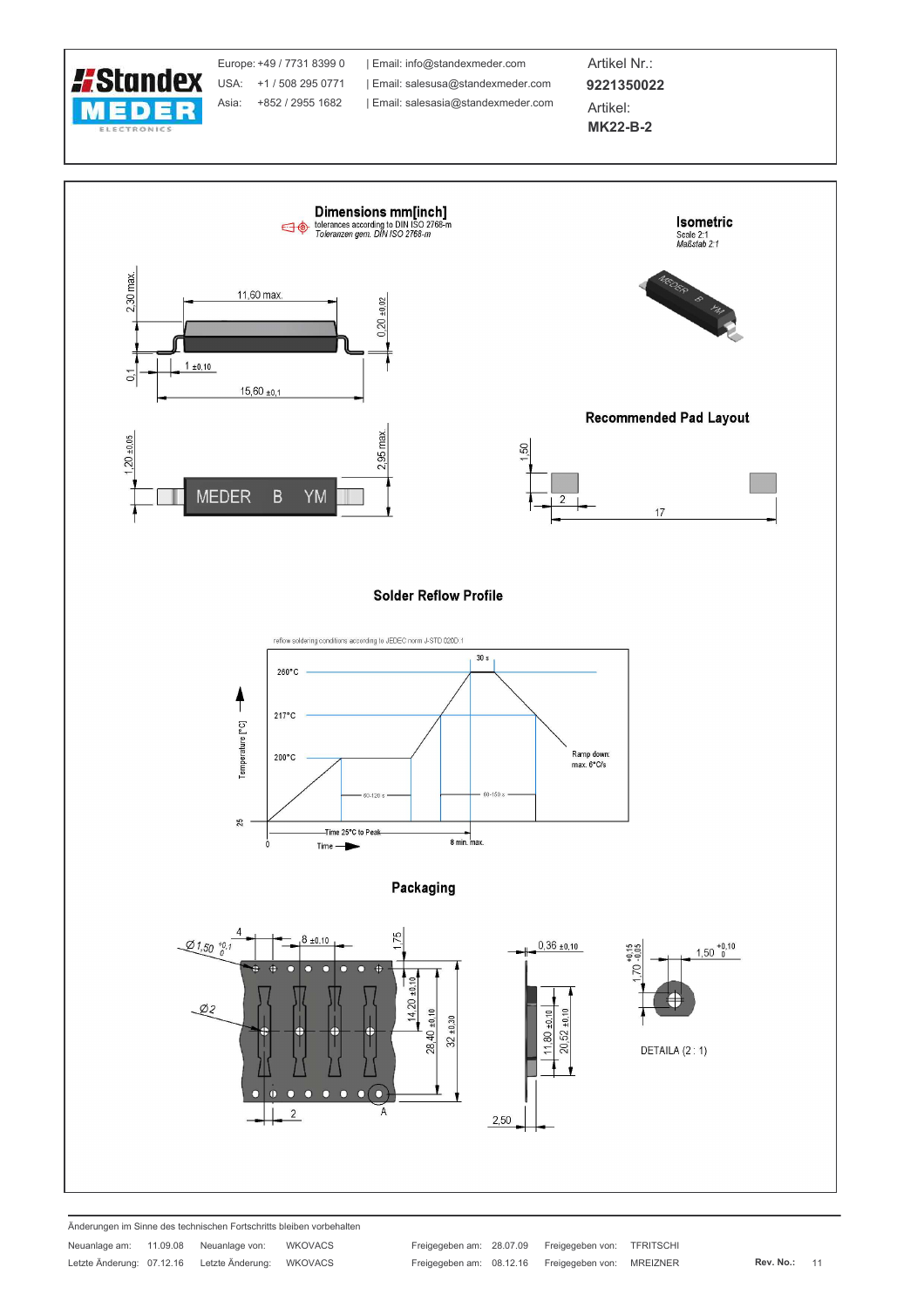

Änderungen im Sinne des technischen Fortschritts bleiben vorbehalten **WIKOVACS** a sa sa  $\sim$ 

| Neuanlage am:             | 11.09.08 | Neuanlage von:   | <b>WKOVACS</b> |
|---------------------------|----------|------------------|----------------|
| Letzte Änderung: 07.12.16 |          | Letzte Änderung: | <b>WKOVACS</b> |